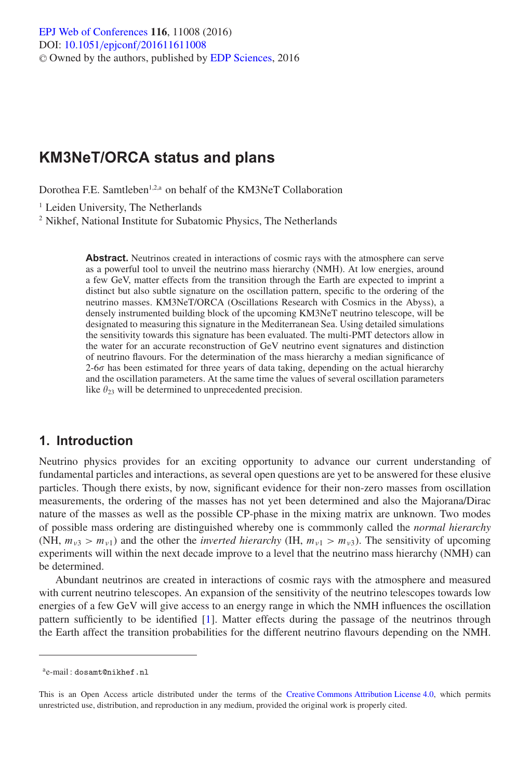# **KM3NeT/ORCA status and plans**

Dorothea F.E. Samtleben<sup>1,2,a</sup> on behalf of the KM3NeT Collaboration

<sup>1</sup> Leiden University, The Netherlands

<sup>2</sup> Nikhef, National Institute for Subatomic Physics, The Netherlands

**Abstract.** Neutrinos created in interactions of cosmic rays with the atmosphere can serve as a powerful tool to unveil the neutrino mass hierarchy (NMH). At low energies, around a few GeV, matter effects from the transition through the Earth are expected to imprint a distinct but also subtle signature on the oscillation pattern, specific to the ordering of the neutrino masses. KM3NeT/ORCA (Oscillations Research with Cosmics in the Abyss), a densely instrumented building block of the upcoming KM3NeT neutrino telescope, will be designated to measuring this signature in the Mediterranean Sea. Using detailed simulations the sensitivity towards this signature has been evaluated. The multi-PMT detectors allow in the water for an accurate reconstruction of GeV neutrino event signatures and distinction of neutrino flavours. For the determination of the mass hierarchy a median significance of  $2\n-6\sigma$  has been estimated for three years of data taking, depending on the actual hierarchy and the oscillation parameters. At the same time the values of several oscillation parameters like  $\theta_{23}$  will be determined to unprecedented precision.

#### **1. Introduction**

Neutrino physics provides for an exciting opportunity to advance our current understanding of fundamental particles and interactions, as several open questions are yet to be answered for these elusive particles. Though there exists, by now, significant evidence for their non-zero masses from oscillation measurements, the ordering of the masses has not yet been determined and also the Majorana/Dirac nature of the masses as well as the possible CP-phase in the mixing matrix are unknown. Two modes of possible mass ordering are distinguished whereby one is commmonly called the *normal hierarchy* (NH,  $m_{\nu3} > m_{\nu1}$ ) and the other the *inverted hierarchy* (IH,  $m_{\nu1} > m_{\nu3}$ ). The sensitivity of upcoming experiments will within the next decade improve to a level that the neutrino mass hierarchy (NMH) can be determined.

Abundant neutrinos are created in interactions of cosmic rays with the atmosphere and measured with current neutrino telescopes. An expansion of the sensitivity of the neutrino telescopes towards low energies of a few GeV will give access to an energy range in which the NMH influences the oscillation pattern sufficiently to be identified [\[1](#page-5-0)]. Matter effects during the passage of the neutrinos through the Earth affect the transition probabilities for the different neutrino flavours depending on the NMH.

ae-mail : dosamt@nikhef.nl

This is an Open Access article distributed under the terms of the [Creative Commons Attribution License 4.0,](http://creativecommons.org/licenses/by/4.0/) which permits unrestricted use, distribution, and reproduction in any medium, provided the original work is properly cited.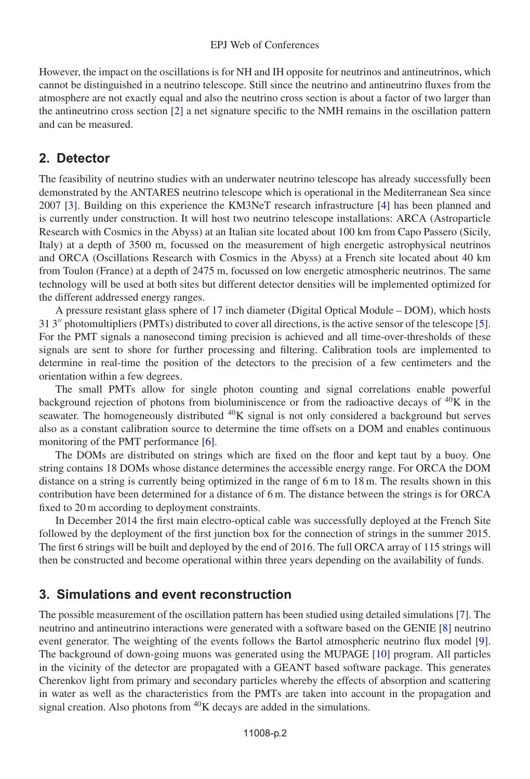However, the impact on the oscillations is for NH and IH opposite for neutrinos and antineutrinos, which cannot be distinguished in a neutrino telescope. Still since the neutrino and antineutrino fluxes from the atmosphere are not exactly equal and also the neutrino cross section is about a factor of two larger than the antineutrino cross section  $[2]$  a net signature specific to the NMH remains in the oscillation pattern and can be measured.

### **2. Detector**

The feasibility of neutrino studies with an underwater neutrino telescope has already successfully been demonstrated by the ANTARES neutrino telescope which is operational in the Mediterranean Sea since 2007 [\[3](#page-5-2)]. Building on this experience the KM3NeT research infrastructure [\[4\]](#page-5-3) has been planned and is currently under construction. It will host two neutrino telescope installations: ARCA (Astroparticle Research with Cosmics in the Abyss) at an Italian site located about 100 km from Capo Passero (Sicily, Italy) at a depth of 3500 m, focussed on the measurement of high energetic astrophysical neutrinos and ORCA (Oscillations Research with Cosmics in the Abyss) at a French site located about 40 km from Toulon (France) at a depth of 2475 m, focussed on low energetic atmospheric neutrinos. The same technology will be used at both sites but different detector densities will be implemented optimized for the different addressed energy ranges.

A pressure resistant glass sphere of 17 inch diameter (Digital Optical Module – DOM), which hosts 31 3" photomultipliers (PMTs) distributed to cover all directions, is the active sensor of the telescope [\[5\]](#page-5-4). For the PMT signals a nanosecond timing precision is achieved and all time-over-thresholds of these signals are sent to shore for further processing and filtering. Calibration tools are implemented to determine in real-time the position of the detectors to the precision of a few centimeters and the orientation within a few degrees.

The small PMTs allow for single photon counting and signal correlations enable powerful background rejection of photons from bioluminiscence or from the radioactive decays of  $40K$  in the seawater. The homogeneously distributed  $^{40}K$  signal is not only considered a background but serves also as a constant calibration source to determine the time offsets on a DOM and enables continuous monitoring of the PMT performance [\[6\]](#page-5-5).

The DOMs are distributed on strings which are fixed on the floor and kept taut by a buoy. One string contains 18 DOMs whose distance determines the accessible energy range. For ORCA the DOM distance on a string is currently being optimized in the range of 6 m to 18 m. The results shown in this contribution have been determined for a distance of 6 m. The distance between the strings is for ORCA fixed to 20 m according to deployment constraints.

In December 2014 the first main electro-optical cable was successfully deployed at the French Site followed by the deployment of the first junction box for the connection of strings in the summer 2015. The first 6 strings will be built and deployed by the end of 2016. The full ORCA array of 115 strings will then be constructed and become operational within three years depending on the availability of funds.

### **3. Simulations and event reconstruction**

The possible measurement of the oscillation pattern has been studied using detailed simulations [\[7](#page-5-6)]. The neutrino and antineutrino interactions were generated with a software based on the GENIE [\[8\]](#page-5-7) neutrino event generator. The weighting of the events follows the Bartol atmospheric neutrino flux model [\[9\]](#page-5-8). The background of down-going muons was generated using the MUPAGE [\[10\]](#page-5-9) program. All particles in the vicinity of the detector are propagated with a GEANT based software package. This generates Cherenkov light from primary and secondary particles whereby the effects of absorption and scattering in water as well as the characteristics from the PMTs are taken into account in the propagation and signal creation. Also photons from  ${}^{40}$ K decays are added in the simulations.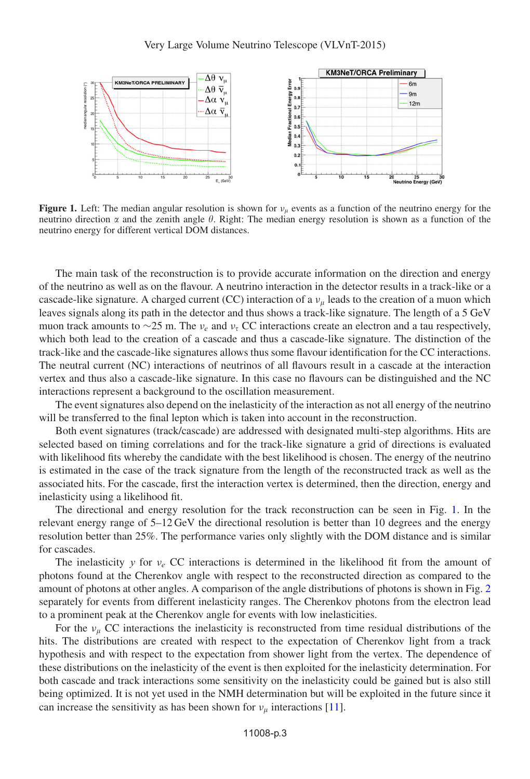<span id="page-2-0"></span>

**Figure 1.** Left: The median angular resolution is shown for  $v_\mu$  events as a function of the neutrino energy for the neutrino direction  $\alpha$  and the zenith angle  $\theta$ . Right: The median energy resolution is shown as a function of the neutrino energy for different vertical DOM distances.

The main task of the reconstruction is to provide accurate information on the direction and energy of the neutrino as well as on the flavour. A neutrino interaction in the detector results in a track-like or a cascade-like signature. A charged current (CC) interaction of a  $v<sub>u</sub>$  leads to the creation of a muon which leaves signals along its path in the detector and thus shows a track-like signature. The length of a 5 GeV muon track amounts to ∼25 m. The  $v_e$  and  $v_\tau$  CC interactions create an electron and a tau respectively, which both lead to the creation of a cascade and thus a cascade-like signature. The distinction of the track-like and the cascade-like signatures allows thus some flavour identification for the CC interactions. The neutral current (NC) interactions of neutrinos of all flavours result in a cascade at the interaction vertex and thus also a cascade-like signature. In this case no flavours can be distinguished and the NC interactions represent a background to the oscillation measurement.

The event signatures also depend on the inelasticity of the interaction as not all energy of the neutrino will be transferred to the final lepton which is taken into account in the reconstruction.

Both event signatures (track/cascade) are addressed with designated multi-step algorithms. Hits are selected based on timing correlations and for the track-like signature a grid of directions is evaluated with likelihood fits whereby the candidate with the best likelihood is chosen. The energy of the neutrino is estimated in the case of the track signature from the length of the reconstructed track as well as the associated hits. For the cascade, first the interaction vertex is determined, then the direction, energy and inelasticity using a likelihood fit.

The directional and energy resolution for the track reconstruction can be seen in Fig. [1.](#page-2-0) In the relevant energy range of 5–12 GeV the directional resolution is better than 10 degrees and the energy resolution better than 25%. The performance varies only slightly with the DOM distance and is similar for cascades.

The inelasticity y for  $v_e$  CC interactions is determined in the likelihood fit from the amount of photons found at the Cherenkov angle with respect to the reconstructed direction as compared to the amount of photons at other angles. A comparison of the angle distributions of photons is shown in Fig. [2](#page-3-0) separately for events from different inelasticity ranges. The Cherenkov photons from the electron lead to a prominent peak at the Cherenkov angle for events with low inelasticities.

For the  $\nu_{\mu}$  CC interactions the inelasticity is reconstructed from time residual distributions of the hits. The distributions are created with respect to the expectation of Cherenkov light from a track hypothesis and with respect to the expectation from shower light from the vertex. The dependence of these distributions on the inelasticity of the event is then exploited for the inelasticity determination. For both cascade and track interactions some sensitivity on the inelasticity could be gained but is also still being optimized. It is not yet used in the NMH determination but will be exploited in the future since it can increase the sensitivity as has been shown for  $v_u$  interactions [\[11\]](#page-5-10).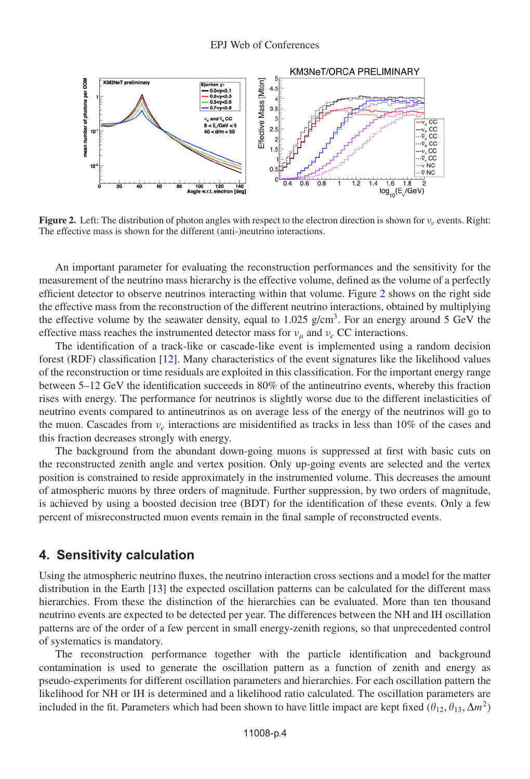<span id="page-3-0"></span>

**Figure 2.** Left: The distribution of photon angles with respect to the electron direction is shown for  $v_e$  events. Right: The effective mass is shown for the different (anti-)neutrino interactions.

An important parameter for evaluating the reconstruction performances and the sensitivity for the measurement of the neutrino mass hierarchy is the effective volume, defined as the volume of a perfectly efficient detector to observe neutrinos interacting within that volume. Figure [2](#page-3-0) shows on the right side the effective mass from the reconstruction of the different neutrino interactions, obtained by multiplying the effective volume by the seawater density, equal to 1.025 g/cm<sup>3</sup>. For an energy around 5 GeV the effective mass reaches the instrumented detector mass for  $v_u$  and  $v_e$  CC interactions.

The identification of a track-like or cascade-like event is implemented using a random decision forest (RDF) classification [\[12\]](#page-5-11). Many characteristics of the event signatures like the likelihood values of the reconstruction or time residuals are exploited in this classification. For the important energy range between 5–12 GeV the identification succeeds in 80% of the antineutrino events, whereby this fraction rises with energy. The performance for neutrinos is slightly worse due to the different inelasticities of neutrino events compared to antineutrinos as on average less of the energy of the neutrinos will go to the muon. Cascades from  $v_e$  interactions are misidentified as tracks in less than 10% of the cases and this fraction decreases strongly with energy.

The background from the abundant down-going muons is suppressed at first with basic cuts on the reconstructed zenith angle and vertex position. Only up-going events are selected and the vertex position is constrained to reside approximately in the instrumented volume. This decreases the amount of atmospheric muons by three orders of magnitude. Further suppression, by two orders of magnitude, is achieved by using a boosted decision tree (BDT) for the identification of these events. Only a few percent of misreconstructed muon events remain in the final sample of reconstructed events.

#### **4. Sensitivity calculation**

Using the atmospheric neutrino fluxes, the neutrino interaction cross sections and a model for the matter distribution in the Earth [\[13](#page-5-12)] the expected oscillation patterns can be calculated for the different mass hierarchies. From these the distinction of the hierarchies can be evaluated. More than ten thousand neutrino events are expected to be detected per year. The differences between the NH and IH oscillation patterns are of the order of a few percent in small energy-zenith regions, so that unprecedented control of systematics is mandatory.

The reconstruction performance together with the particle identification and background contamination is used to generate the oscillation pattern as a function of zenith and energy as pseudo-experiments for different oscillation parameters and hierarchies. For each oscillation pattern the likelihood for NH or IH is determined and a likelihood ratio calculated. The oscillation parameters are included in the fit. Parameters which had been shown to have little impact are kept fixed  $(\theta_{12}, \theta_{13}, \Delta m^2)$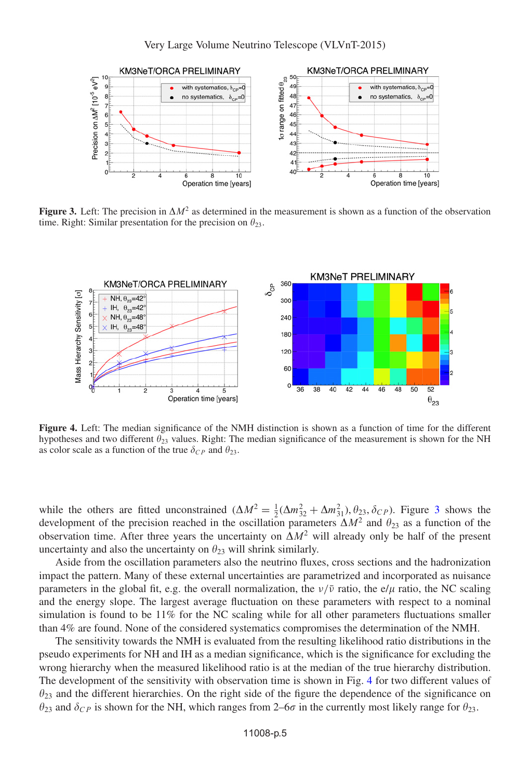<span id="page-4-0"></span>

**Figure 3.** Left: The precision in  $\Delta M^2$  as determined in the measurement is shown as a function of the observation time. Right: Similar presentation for the precision on  $\theta_{23}$ .

<span id="page-4-1"></span>

**Figure 4.** Left: The median significance of the NMH distinction is shown as a function of time for the different hypotheses and two different  $\theta_{23}$  values. Right: The median significance of the measurement is shown for the NH as color scale as a function of the true  $\delta_{CP}$  and  $\theta_{23}$ .

while the others are fitted unconstrained  $(\Delta M^2 = \frac{1}{2}(\Delta m_{32}^2 + \Delta m_{31}^2), \theta_{23}, \delta_{CP})$  $(\Delta M^2 = \frac{1}{2}(\Delta m_{32}^2 + \Delta m_{31}^2), \theta_{23}, \delta_{CP})$  $(\Delta M^2 = \frac{1}{2}(\Delta m_{32}^2 + \Delta m_{31}^2), \theta_{23}, \delta_{CP})$ . Figure 3 shows the development of the precision reached in the oscillation parameters  $\Delta M^2$  and  $\theta_{23}$  as a function of the observation time. After three years the uncertainty on  $\Delta M^2$  will already only be half of the present uncertainty and also the uncertainty on  $\theta_{23}$  will shrink similarly.

Aside from the oscillation parameters also the neutrino fluxes, cross sections and the hadronization impact the pattern. Many of these external uncertainties are parametrized and incorporated as nuisance parameters in the global fit, e.g. the overall normalization, the  $\nu/\bar{\nu}$  ratio, the e/ $\mu$  ratio, the NC scaling and the energy slope. The largest average fluctuation on these parameters with respect to a nominal simulation is found to be 11% for the NC scaling while for all other parameters fluctuations smaller than 4% are found. None of the considered systematics compromises the determination of the NMH.

The sensitivity towards the NMH is evaluated from the resulting likelihood ratio distributions in the pseudo experiments for NH and IH as a median significance, which is the significance for excluding the wrong hierarchy when the measured likelihood ratio is at the median of the true hierarchy distribution. The development of the sensitivity with observation time is shown in Fig. [4](#page-4-1) for two different values of  $\theta_{23}$  and the different hierarchies. On the right side of the figure the dependence of the significance on  $\theta_{23}$  and  $\delta_{CP}$  is shown for the NH, which ranges from 2–6 $\sigma$  in the currently most likely range for  $\theta_{23}$ .